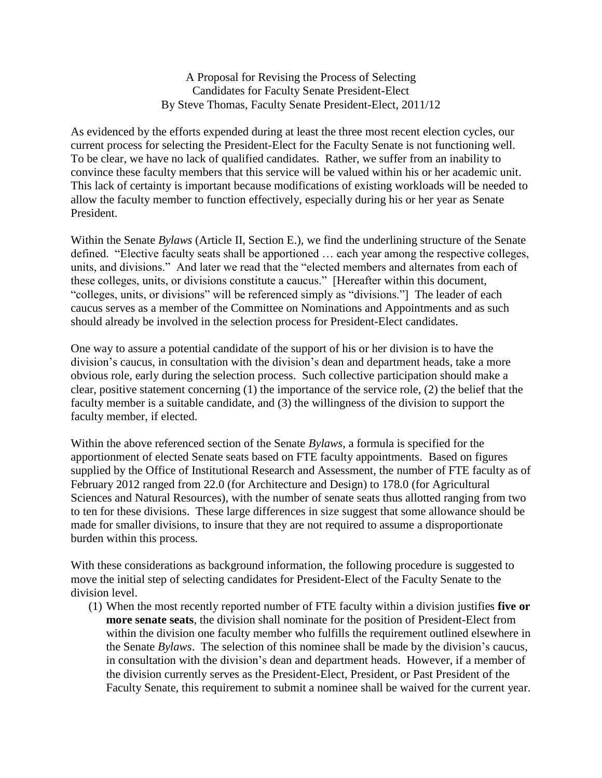A Proposal for Revising the Process of Selecting Candidates for Faculty Senate President-Elect By Steve Thomas, Faculty Senate President-Elect, 2011/12

As evidenced by the efforts expended during at least the three most recent election cycles, our current process for selecting the President-Elect for the Faculty Senate is not functioning well. To be clear, we have no lack of qualified candidates. Rather, we suffer from an inability to convince these faculty members that this service will be valued within his or her academic unit. This lack of certainty is important because modifications of existing workloads will be needed to allow the faculty member to function effectively, especially during his or her year as Senate President.

Within the Senate *Bylaws* (Article II, Section E.), we find the underlining structure of the Senate defined. "Elective faculty seats shall be apportioned … each year among the respective colleges, units, and divisions." And later we read that the "elected members and alternates from each of these colleges, units, or divisions constitute a caucus." [Hereafter within this document, "colleges, units, or divisions" will be referenced simply as "divisions."] The leader of each caucus serves as a member of the Committee on Nominations and Appointments and as such should already be involved in the selection process for President-Elect candidates.

One way to assure a potential candidate of the support of his or her division is to have the division's caucus, in consultation with the division's dean and department heads, take a more obvious role, early during the selection process. Such collective participation should make a clear, positive statement concerning (1) the importance of the service role, (2) the belief that the faculty member is a suitable candidate, and (3) the willingness of the division to support the faculty member, if elected.

Within the above referenced section of the Senate *Bylaws*, a formula is specified for the apportionment of elected Senate seats based on FTE faculty appointments. Based on figures supplied by the Office of Institutional Research and Assessment, the number of FTE faculty as of February 2012 ranged from 22.0 (for Architecture and Design) to 178.0 (for Agricultural Sciences and Natural Resources), with the number of senate seats thus allotted ranging from two to ten for these divisions. These large differences in size suggest that some allowance should be made for smaller divisions, to insure that they are not required to assume a disproportionate burden within this process.

With these considerations as background information, the following procedure is suggested to move the initial step of selecting candidates for President-Elect of the Faculty Senate to the division level.

(1) When the most recently reported number of FTE faculty within a division justifies **five or more senate seats**, the division shall nominate for the position of President-Elect from within the division one faculty member who fulfills the requirement outlined elsewhere in the Senate *Bylaws*. The selection of this nominee shall be made by the division's caucus, in consultation with the division's dean and department heads. However, if a member of the division currently serves as the President-Elect, President, or Past President of the Faculty Senate, this requirement to submit a nominee shall be waived for the current year.